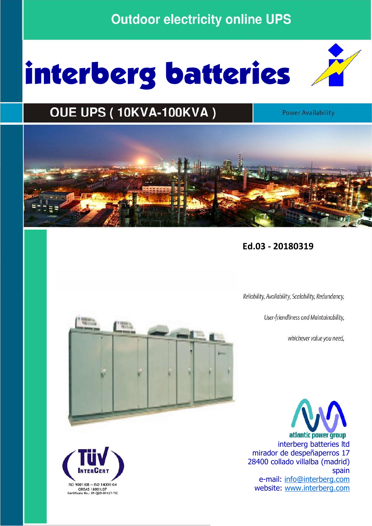## **Outdoor electricity online UPS**

# interberg batteries



**Power Availability** 



**Ed.03 - 20180319**

Reliability, Availability, Scalability, Redundancy,

User-friendliness and Maintainability,

whichever value you need,

atlantic power group interberg batteries ltd mirador de despeñaperros 17 28400 collado villalba (madrid) spain and the contract of the contract of the spain spain e-mail: info@interberg.com  $\frac{0.0001:08 - 150}{0.0001:08 - 150}$ <br>
OHSAS 18001:07<br>
Certificate No.; 09-QEO-01427-TIC



l.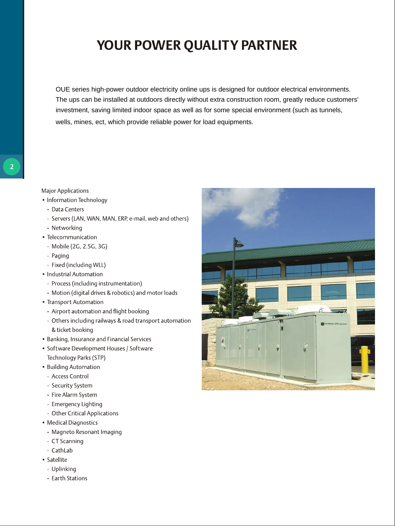## YOUR POWER QUALITY PARTNER

OUE series high-power outdoor electricity online ups is designed for outdoor electrical environments. The ups can be installed at outdoors directly without extra construction room, greatly reduce customers' investment, saving limited indoor space as well as for some special environment (such as tunnels, wells, mines, ect, which provide reliable power for load equipments.

#### **Major Applications**

- Information Technology
- Data Centers
- Servers (LAN, WAN, MAN, ERP, e-mail, web and others)
- Networking
- Telecommunication
- Mobile (2G, 2.5G, 3G)
- Paging
- Fixed (including WLL)
- Industrial Automation
- Process (including instrumentation)
- Motion (digital drives & robotics) and motor loads
- Transport Automation
- Airport automation and flight booking
- Others including railways & road transport automation & ticket booking
- Banking, Insurance and Financial Services
- Software Development Houses / Software Technology Parks (STP)
- Building Automation
- Access Control
- Security System
- Fire Alarm System
- Emergency Lighting
- Other Critical Applications
- Medical Diagnostics
	- Magneto Resonant Imaging
	- CT Scanning
	- CathLab
- Satellite
- Uplinking
- Earth Stations

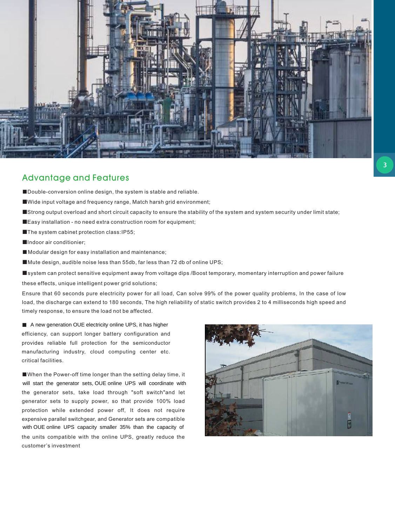

#### Advantage and Features

- ■Double-conversion online design, the system is stable and reliable.
- ■Wide input voltage and frequency range, Match harsh grid environment;
- ■Strong output overload and short circuit capacity to ensure the stability of the system and system security under limit state;
- ■Easy installation no need extra construction room for equipment;
- ■The system cabinet protection class:IP55;
- ■Indoor air conditionier;
- Modular design for easy installation and maintenance;
- ■Mute design, audible noise less than 55db, far less than 72 db of online UPS;
- ■system can protect sensitive equipment away from voltage dips /Boost temporary, momentary interruption and power failure

these effects, unique intelligent power grid solutions ;

Ensure that 60 seconds pure electricity power for all load, Can solve 99% of the power quality problems, In the case of low load, the discharge can extend to 180 seconds, The high reliability of static switch provides 2 to 4 milliseconds high speed and timely response, to ensure the load not be affected.

■ A new generation OUE electricity online UPS, it has higher efficiency, can support longer battery configuration and provides reliable full protection for the semiconductor manufacturing industry, cloud computing center etc. critical facilities.

■When the Power-off time longer than the setting delay time, it the generator sets, take load through "soft switch"and let generator sets to supply power, so that provide 100% load protection while extended power off, It does not require expensive parallel switchgear, and Generator sets are compatible the units compatible with the online UPS, greatly reduce the customer's investment will start the generator sets, OUE online UPS will coordinate with with OUE online UPS capacity smaller 35% than the capacity of